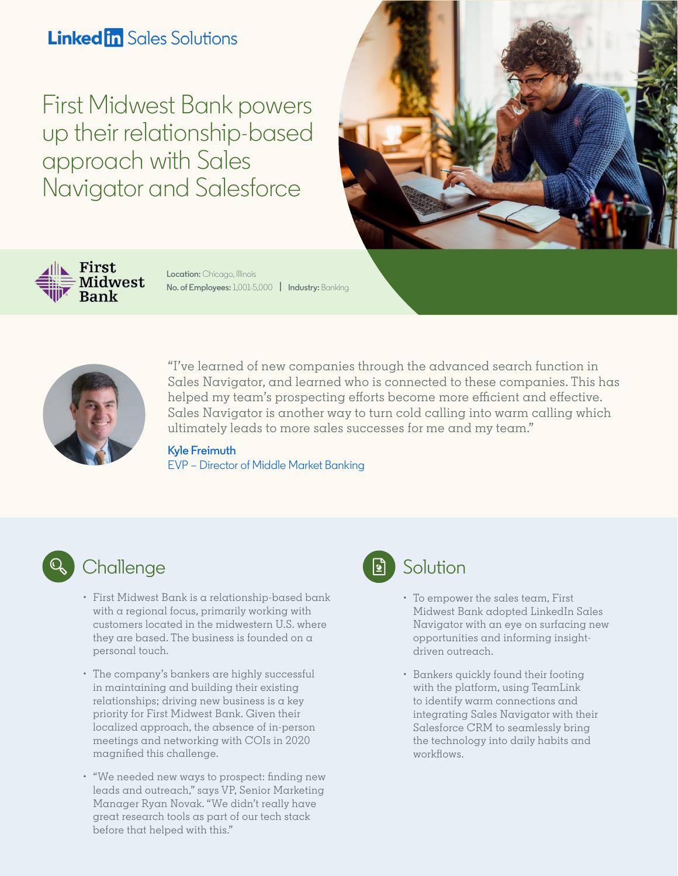## **Linked in Sales Solutions**

First Midwest Bank powers up their relationship-based approach with Sales Navigator and Salesforce





**Location:** Chicago, Illinois **No. of Employees:** 1,001-5,000 **| Industry:** Banking



["I've learned of new companies throu](https://www.linkedin.com/in/kylefreimuth/)gh the advanced search function in Sales Navigator, and learned who is connected to these companies. This has helped my team's prospecting efforts become more efficient and effective. Sales Navigator is another way to turn cold calling into warm calling which ultimately leads to more sales successes for me and my team."

#### **Kyle Freimuth**

EVP – Director of Middle Market Banking



## **Challenge**

- First Midwest Bank is a relationship-based bank with a regional focus, primarily working with customers located in the midwestern U.S. where they are based. The business is founded on a personal touch.
- The company's bankers are highly successful in maintaining and building their existing  $relationships; driving new business is a key$ priority for First Midwest Bank. Given their localized approach, the absence of in-person meetings and networking with COIs in 2020 magnified this challenge.
- "We needed new ways to prospect: finding new leads and outreach," says VP, Senior Marketing Manager Ryan Novak. "We didn't really have great research tools as part of our tech stack before that helped with this."



### Solution

- To empower the sales team, First Midwest Bank adopted LinkedIn Sales Navigator with an eye on surfacing new opportunities and informing insightdriven outreach.
- Bankers quickly found their footing with the platform, using TeamLink to identify warm connections and integrating Sales Navigator with their Salesforce CRM to seamlessly bring the technology into daily habits and workflows.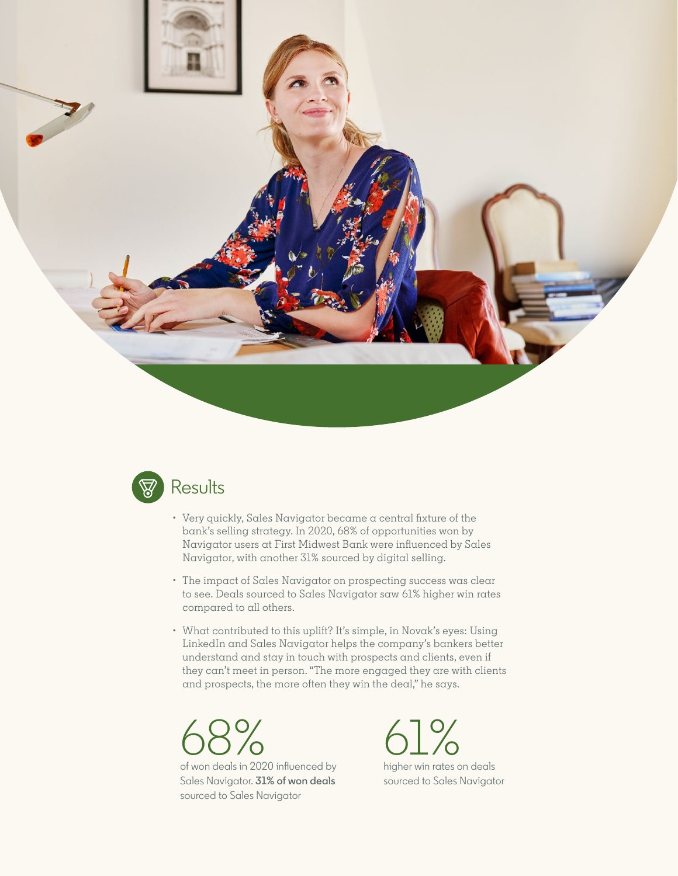



- Very quickly, Sales Navigator became a central fixture of the bank's selling strategy. In 2020, 68% of opportunities won by Navigator users at First Midwest Bank were influenced by Sales Navigator, with another 31% sourced by digital selling.
- The impact of Sales Navigator on prospecting success was clear to see. Deals sourced to Sales Navigator saw 61% higher win rates compared to all others.
- What contributed to this uplift? It's simple, in Novak's eyes: Using LinkedIn and Sales Navigator helps the company's bankers better understand and stay in touch with prospects and clients, even if they can't meet in person. "The more engaged they are with clients and prospects, the more often they win the deal," he says.



of won deals in 2020 influenced by Sales Navigator. **31% of won deals**  sourced to Sales Navigator



higher win rates on deals sourced to Sales Navigator